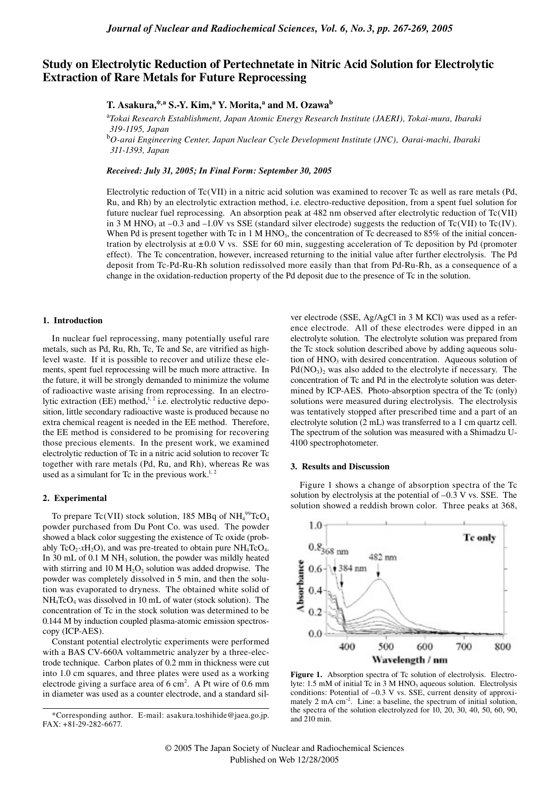# **Study on Electrolytic Reduction of Pertechnetate in Nitric Acid Solution for Electrolytic Extraction of Rare Metals for Future Reprocessing**

**T. Asakura,\*,a S.-Y. Kim, <sup>a</sup> Y. Morita, a and M. Ozawab**

<sup>a</sup>*Tokai Research Establishment, Japan Atomic Energy Research Institute (JAERI), Tokai-mura, Ibaraki 319-1195, Japan*

<sup>b</sup>*O-arai Engineering Center, Japan Nuclear Cycle Development Institute (JNC), Oarai-machi, Ibaraki 311-1393, Japan*

*Received: July 31, 2005; In Final Form: September 30, 2005*

Electrolytic reduction of Tc(VII) in a nitric acid solution was examined to recover Tc as well as rare metals (Pd, Ru, and Rh) by an electrolytic extraction method, i.e. electro-reductive deposition, from a spent fuel solution for future nuclear fuel reprocessing. An absorption peak at 482 nm observed after electrolytic reduction of Tc(VII) in 3 M HNO<sub>3</sub> at –0.3 and –1.0V vs SSE (standard silver electrode) suggests the reduction of Tc(VII) to Tc(IV). When Pd is present together with Tc in 1 M HNO<sub>3</sub>, the concentration of Tc decreased to 85% of the initial concentration by electrolysis at  $\pm 0.0$  V vs. SSE for 60 min, suggesting acceleration of Tc deposition by Pd (promoter effect). The Tc concentration, however, increased returning to the initial value after further electrolysis. The Pd deposit from Tc-Pd-Ru-Rh solution redissolved more easily than that from Pd-Ru-Rh, as a consequence of a change in the oxidation-reduction property of the Pd deposit due to the presence of Tc in the solution.

### **1. Introduction**

In nuclear fuel reprocessing, many potentially useful rare metals, such as Pd, Ru, Rh, Tc, Te and Se, are vitrified as highlevel waste. If it is possible to recover and utilize these elements, spent fuel reprocessing will be much more attractive. In the future, it will be strongly demanded to minimize the volume of radioactive waste arising from reprocessing. In an electrolytic extraction (EE) method,<sup>1,2</sup> i.e. electrolytic reductive deposition, little secondary radioactive waste is produced because no extra chemical reagent is needed in the EE method. Therefore, the EE method is considered to be promising for recovering those precious elements. In the present work, we examined electrolytic reduction of Tc in a nitric acid solution to recover Tc together with rare metals (Pd, Ru, and Rh), whereas Re was used as a simulant for Tc in the previous work.<sup>1, 2</sup>

### **2. Experimental**

To prepare Tc(VII) stock solution, 185 MBq of  $NH_4^{99}$ TcO<sub>4</sub> powder purchased from Du Pont Co. was used. The powder showed a black color suggesting the existence of Tc oxide (probably TcO<sub>2</sub>· $xH_2O$ ), and was pre-treated to obtain pure NH<sub>4</sub>TcO<sub>4</sub>. In 30 mL of 0.1 M NH<sub>3</sub> solution, the powder was mildly heated with stirring and 10 M  $H_2O_2$  solution was added dropwise. The powder was completely dissolved in 5 min, and then the solution was evaporated to dryness. The obtained white solid of NH4TcO4 was dissolved in 10 mL of water (stock solution). The concentration of Tc in the stock solution was determined to be 0.144 M by induction coupled plasma-atomic emission spectroscopy (ICP-AES).

Constant potential electrolytic experiments were performed with a BAS CV-660A voltammetric analyzer by a three-electrode technique. Carbon plates of 0.2 mm in thickness were cut into 1.0 cm squares, and three plates were used as a working electrode giving a surface area of  $6 \text{ cm}^2$ . A Pt wire of 0.6 mm in diameter was used as a counter electrode, and a standard sil-

ver electrode (SSE, Ag/AgCl in 3 M KCl) was used as a reference electrode. All of these electrodes were dipped in an electrolyte solution. The electrolyte solution was prepared from the Tc stock solution described above by adding aqueous solution of  $HNO<sub>3</sub>$  with desired concentration. Aqueous solution of  $Pd(NO<sub>3</sub>)<sub>2</sub>$  was also added to the electrolyte if necessary. The concentration of Tc and Pd in the electrolyte solution was determined by ICP-AES. Photo-absorption spectra of the Tc (only) solutions were measured during electrolysis. The electrolysis was tentatively stopped after prescribed time and a part of an electrolyte solution (2 mL) was transferred to a 1 cm quartz cell. The spectrum of the solution was measured with a Shimadzu U-4100 spectrophotometer.

## **3. Results and Discussion**

Figure 1 shows a change of absorption spectra of the Tc solution by electrolysis at the potential of –0.3 V vs. SSE. The solution showed a reddish brown color. Three peaks at 368,



Figure 1. Absorption spectra of Tc solution of electrolysis. Electrolyte:  $1.5 \text{ mM of initial Tc in 3 M HNO<sub>3</sub> aqueous solution. Electrolysis$ conditions: Potential of –0.3 V vs. SSE, current density of approximately 2 mA cm<sup>-2</sup>. Line: a baseline, the spectrum of initial solution, the spectra of the solution electrolyzed for 10, 20, 30, 40, 50, 60, 90, and 210 min.

<sup>\*</sup>Corresponding author. E-mail: asakura.toshihide@jaea.go.jp. FAX: +81-29-282-6677.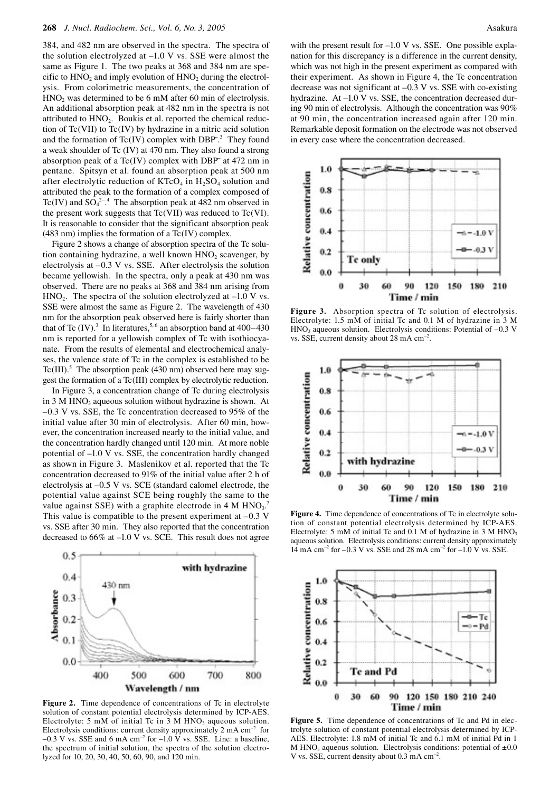384, and 482 nm are observed in the spectra. The spectra of the solution electrolyzed at –1.0 V vs. SSE were almost the same as Figure 1. The two peaks at 368 and 384 nm are specific to  $HNO<sub>2</sub>$  and imply evolution of  $HNO<sub>2</sub>$  during the electrolysis. From colorimetric measurements, the concentration of HNO<sub>2</sub> was determined to be 6 mM after 60 min of electrolysis. An additional absorption peak at 482 nm in the spectra is not attributed to  $HNO<sub>2</sub>$ . Boukis et al. reported the chemical reduction of Tc(VII) to Tc(IV) by hydrazine in a nitric acid solution and the formation of Tc(IV) complex with DBP<sup>-3</sup> They found a weak shoulder of Tc (IV) at 470 nm. They also found a strong absorption peak of a Tc(IV) complex with DBP<sup>−</sup> at 472 nm in pentane. Spitsyn et al. found an absorption peak at 500 nm after electrolytic reduction of  $KTCO<sub>4</sub>$  in  $H<sub>2</sub>SO<sub>4</sub>$  solution and attributed the peak to the formation of a complex composed of Tc(IV) and  $SO_4^{2-4}$  The absorption peak at 482 nm observed in the present work suggests that  $Tc(VII)$  was reduced to  $Tc(VI)$ . It is reasonable to consider that the significant absorption peak (483 nm) implies the formation of a Tc(IV) complex.

Figure 2 shows a change of absorption spectra of the Tc solution containing hydrazine, a well known  $HNO<sub>2</sub>$  scavenger, by electrolysis at –0.3 V vs. SSE. After electrolysis the solution became yellowish. In the spectra, only a peak at 430 nm was observed. There are no peaks at 368 and 384 nm arising from  $HNO<sub>2</sub>$ . The spectra of the solution electrolyzed at  $-1.0$  V vs. SSE were almost the same as Figure 2. The wavelength of 430 nm for the absorption peak observed here is fairly shorter than that of Tc  $(IV)$ .<sup>3</sup> In literatures,<sup>5,6</sup> an absorption band at 400–430 nm is reported for a yellowish complex of Tc with isothiocyanate. From the results of elemental and electrochemical analyses, the valence state of Tc in the complex is established to be Tc(III).<sup>5</sup> The absorption peak (430 nm) observed here may suggest the formation of a Tc(III) complex by electrolytic reduction.

In Figure 3, a concentration change of Tc during electrolysis in  $3 M HNO<sub>3</sub>$  aqueous solution without hydrazine is shown. At –0.3 V vs. SSE, the Tc concentration decreased to 95% of the initial value after 30 min of electrolysis. After 60 min, however, the concentration increased nearly to the initial value, and the concentration hardly changed until 120 min. At more noble potential of –1.0 V vs. SSE, the concentration hardly changed as shown in Figure 3. Maslenikov et al. reported that the Tc concentration decreased to 91% of the initial value after 2 h of electrolysis at –0.5 V vs. SCE (standard calomel electrode, the potential value against SCE being roughly the same to the value against SSE) with a graphite electrode in 4 M  $HNO<sub>3</sub>$ . This value is compatible to the present experiment at  $-0.3$  V vs. SSE after 30 min. They also reported that the concentration decreased to 66% at –1.0 V vs. SCE. This result does not agree



Figure 2. Time dependence of concentrations of Tc in electrolyte solution of constant potential electrolysis determined by ICP-AES. Electrolyte: 5 mM of initial Tc in 3 M  $HNO<sub>3</sub>$  aqueous solution. Electrolysis conditions: current density approximately  $2 \text{ mA cm}^{-2}$  for  $-0.3$  V vs. SSE and 6 mA cm<sup>-2</sup> for  $-1.0$  V vs. SSE. Line: a baseline, the spectrum of initial solution, the spectra of the solution electrolyzed for 10, 20, 30, 40, 50, 60, 90, and 120 min.

with the present result for –1.0 V vs. SSE. One possible explanation for this discrepancy is a difference in the current density, which was not high in the present experiment as compared with their experiment. As shown in Figure 4, the Tc concentration decrease was not significant at –0.3 V vs. SSE with co-existing hydrazine. At –1.0 V vs. SSE, the concentration decreased during 90 min of electrolysis. Although the concentration was 90% at 90 min, the concentration increased again after 120 min. Remarkable deposit formation on the electrode was not observed in every case where the concentration decreased.



Figure 3. Absorption spectra of Tc solution of electrolysis. Electrolyte: 1.5 mM of initial Tc and 0.1 M of hydrazine in 3 M  $HNO<sub>3</sub>$  aqueous solution. Electrolysis conditions: Potential of  $-0.3$  V vs. SSE, current density about 28 mA  $cm^{-2}$ .



Figure 4. Time dependence of concentrations of Tc in electrolyte solution of constant potential electrolysis determined by ICP-AES. Electrolyte: 5 mM of initial Tc and  $0.1$  M of hydrazine in 3 M HNO<sub>3</sub> aqueous solution. Electrolysis conditions: current density approximately 14 mA cm<sup>-2</sup> for  $-0.3$  V vs. SSE and 28 mA cm<sup>-2</sup> for  $-1.0$  V vs. SSE.



Figure 5. Time dependence of concentrations of Tc and Pd in electrolyte solution of constant potential electrolysis determined by ICP-AES. Electrolyte: 1.8 mM of initial Tc and 6.1 mM of initial Pd in 1 M HNO<sub>3</sub> aqueous solution. Electrolysis conditions: potential of  $\pm 0.0$ V vs. SSE, current density about  $0.3 \text{ mA cm}^{-2}$ .